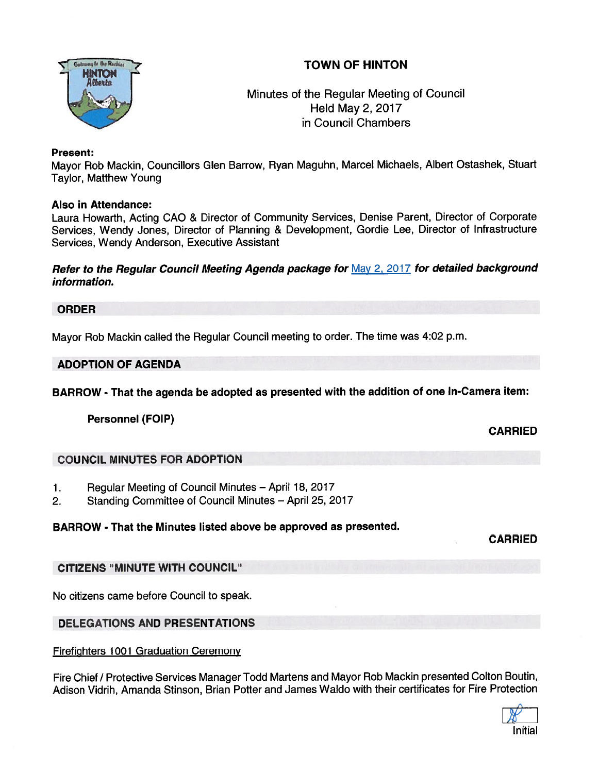# TOWN OF HINTON



## Minutes of the Regular Meeting of Council Held May 2, 2017 in Council Chambers

#### Present:

Mayor Rob Mackin, Councillors Glen Barrow, Ryan Maguhn, Marcel Michaels, Albert Ostashek, Stuart Taylor, Matthew Young

#### Also in Attendance:

Laura Howarth, Acting CAO & Director of Community Services, Denise Parent, Director of Corporate Services, Wendy Jones, Director of Planning & Development, Gordie Lee, Director of Infrastructure Services, Wendy Anderson, Executive Assistant

Refer to the Regular Council Meeting Agenda package for May 2, 2017 for detailed background information.

#### ORDER

Mayor Rob Mackin called the Regular Council meeting to order. The time was 4:02 p.m.

#### ADOPTION OF AGENDA

BARROW - That the agenda be adopted as presented with the addition of one In-Camera item:

Personnel (FOIP)

CARRIED

## COUNCIL MINUTES FOR ADOPTION

- 1. Regular Meeting of Council Minutes April 18, 2017
- 2. Standing Committee of Council Minutes April 25, 2017

## BARROW - That the Minutes listed above be approved as presented.

CARRIED

## CITIZENS "MINUTE WITH COUNCIL"

No citizens came before Council to speak.

## DELEGATIONS AND PRESENTATIONS

Firefighters 1001 Graduation Ceremony

Fire Chief / Protective Services Manager Todd Martens and Mayor Rob Mackin presented Colton Boutin, Adison Vidrih, Amanda Stinson, Brian Potter and James Waldo with their certificates for Fire Protection

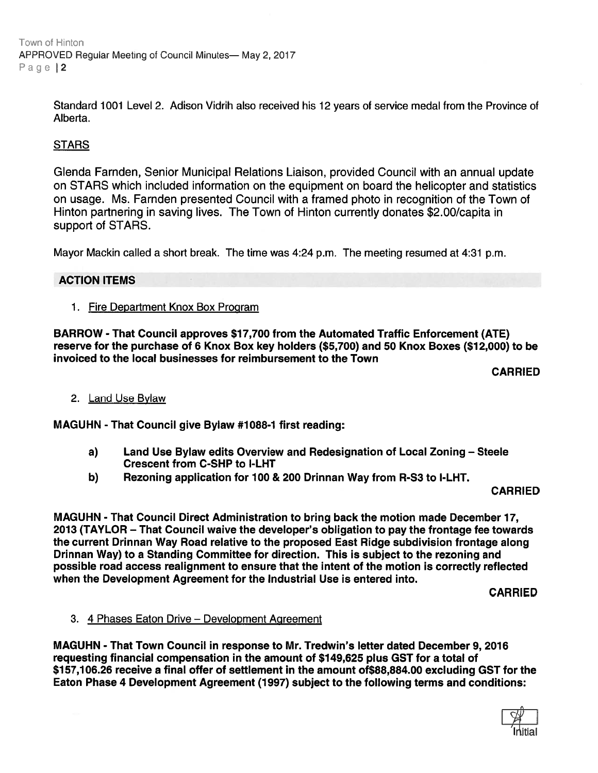Town of Hinton APPROVED Regular Meeting of Council Minutes— May 2, 2017 Page 12

> Standard <sup>1001</sup> Level 2. Adison Vidrih also received his 12 years of service medal from the Province of Alberta.

### **STARS**

Glenda Farnden, Senior Municipal Relations Liaison, provided Council with an annual update on STARS which included information on the equipment on board the helicopter and statistics on usage. Ms. Farnden presented Council with <sup>a</sup> framed photo in recognition of the Town of Hinton partnering in saving lives. The Town of Hinton currently donates \$2.00/capita in suppor<sup>t</sup> of STARS.

Mayor Mackin called <sup>a</sup> short break. The time was 4:24 p.m. The meeting resumed at 4:31 p.m.

#### ACTION ITEMS

1. Fire Department Knox Box Program

BARROW -That Council approves \$17,700 from the Automated Traffic Enforcement (ATE) reserve for the purchase of 6 Knox Box key holders (\$5,700) and 50 Knox Boxes (\$12,000) to be invoiced to the local businesses for reimbursement to the Town

CARRIED

#### 2. Land Use Bylaw

MAGUHN -That Council give Bylaw #1088-1 first reading:

- a) Land Use Bylaw edits Overview and Redesignation of Local Zoning Steele Crescent from C-SHP to I-LHT
- b) Rezoning application for 100 & 200 Drinnan Way from R-S3 to l-LHT.

CARRIED

MAGUHN - That Council Direct Administration to bring back the motion made December 17, 2013 (TAYLOR — That Council waive the developer's obligation to pay the frontage fee towards the current Drinnan Way Road relative to the proposed East Ridge subdivision frontage along Drinnan Way) to <sup>a</sup> Standing Committee for direction. This is subject to the rezoning and possible road access realignment to ensure that the intent of the motion is correctly reflected when the Development Agreement for the Industrial Use is entered into.

CARRIED

#### 3. 4 Phases Eaton Drive — Development Agreement

MAGUHN - That Town Council in response to Mr. Tredwin's letter dated December 9, 2016 requesting financial compensation in the amount of \$149,625 <sup>p</sup>lus GST for <sup>a</sup> total of \$157,106.26 receive <sup>a</sup> final offer of settlement in the amount of\$88,884.00 excluding GST for the Eaton Phase 4 Development Agreement (1997) subject to the following terms and conditions:

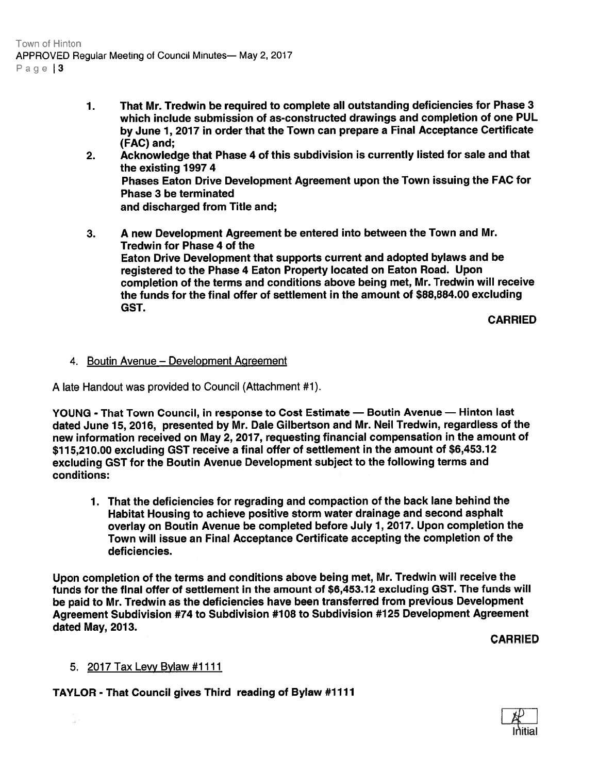Town of Hinton APPROVED Regular Meeting of Council Minutes— May 2, 2017 Page  $3$ 

- 1. That Mr. Tredwin be required to complete all outstanding deficiencies for Phase 3 which include submission of as-constructed drawings and completion of one PUL by June 1, <sup>2017</sup> in order that the Town can prepare <sup>a</sup> Final Acceptance Certificate (FAC) and;
- 2. Acknowledge that Phase <sup>4</sup> of this subdivision is currently listed for sale and that the existing 1997 4 Phases Eaton Drive Development Agreement upon the Town issuing the FAC for Phase 3 be terminated and discharged from Title and;
- 3. <sup>A</sup> new Development Agreement be entered into between the Town and Mr. Tredwin for Phase 4 of the Eaton Drive Development that supports current and adopted bylaws and be registered to the Phase <sup>4</sup> Eaton Property located on Eaton Road. Upon completion of the terms and conditions above being met, Mr. Tredwin will receive the funds for the final offer of settlement in the amount of \$88,884.00 excluding GST.

CARRIED

## 4. Boutin Avenue - Development Agreement

A late Handout was provided to Council (Attachment #1).

YOUNG - That Town Council, in response to Cost Estimate — Boutin Avenue — Hinton last dated June 15, 2016, presented by Mr. Dale Gilbertson and Mr. Neil Tredwin, regardless of the new information received on May 2, 2017, requesting financial compensation in the amount of \$115,210.00 excluding GST receive <sup>a</sup> final offer of settlement in the amount of \$6,453.12 excluding GST for the Boutin Avenue Development subject to the following terms and conditions:

1. That the deficiencies for regrading and compaction of the back lane behind the Habitat Housing to achieve positive storm water drainage and second asphalt overlay on Boutin Avenue be completed before July 1, 2017. Upon completion the Town will issue an Final Acceptance Certificate accepting the completion of the deficiencies.

Upon completion of the terms and conditions above being met, Mr. Tredwin will receive the funds for the final offer of settlement in the amount of \$6,453.12 excluding GST. The funds will be paid to Mr. Tredwin as the deficiencies have been transferred from previous Development Agreement Subdivision #74 to Subdivision #108 to Subdivision #125 Development Agreement dated May, 2013.

CARRIED

## 5. 2017 Tax Levy Bylaw #1111

 $\rightarrow$ 

TAYLOR - That Council gives Third reading of Bylaw #7117

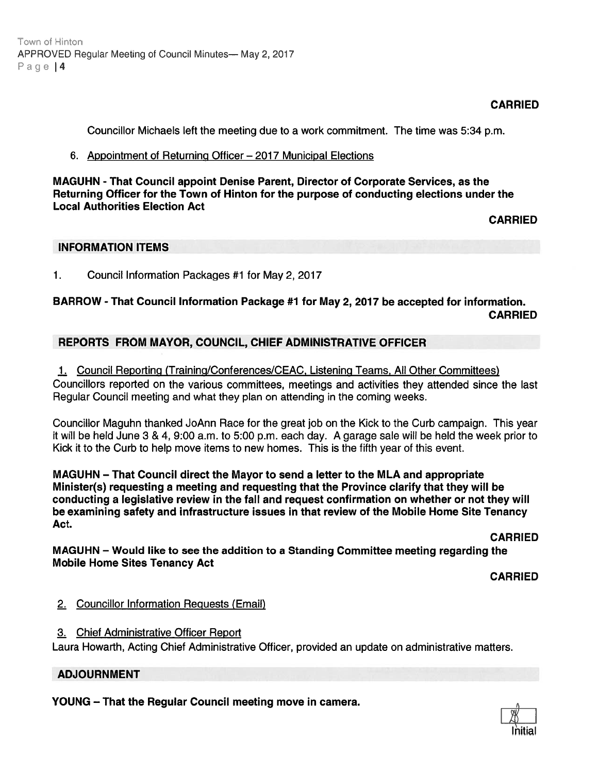## CARRIED

Councillor Michaels left the meeting due to <sup>a</sup> work commitment. The time was 5:34 p.m.

#### 6. Appointment of Returning Officer — 2017 Municipal Elections

MAGUHN - That Council appoint Denise Parent, Director of Corporate Services, as the Returning Officer for the Town of Hinton for the purpose of conducting elections under the Local Authorities Election Act

CARRIED

## INFORMATION ITEMS

1. Council Information Packages #1 for May 2, 2017

# BARROW - That Council Information Package #1 for May 2, 2017 be accepted for information. CARRIED

## REPORTS FROM MAYOR, COUNCIL, CHIEF ADMINISTRATIVE OFFICER

1. Council Reporting (Training/Conferences/CEAC, Listening Teams, All Other Committees) Councillors reported on the various committees, meetings and activities they attended since the last Regular Council meeting and what they plan on attending in the coming weeks.

Councillor Maguhn thanked JoAnn Race for the grea<sup>t</sup> job on the Kick to the Curb campaign. This year it will be held June 3 & 4, 9:00 a.m. to 5:00 p.m. each day. A garage sale will be held the week prior to Kick it to the Curb to help move items to new homes. This is the fifth year of this event.

MAGUHN — That Council direct the Mayor to send <sup>a</sup> letter to the MLA and appropriate Minister(s) requesting <sup>a</sup> meeting and requesting that the Province clarify that they will be conducting <sup>a</sup> legislative review in the fall and reques<sup>t</sup> confirmation on whether or not they will be examining safety and infrastructure issues in that review of the Mobile Home Site Tenancy Act. Figure Mesting of Council Minitede-May 2, 2017<br>
YED Regular Mesting of Council Minitede-May 2, 2017<br>
6. Appoint Denium Particular Council meeting due to a work commitment. The time was 5:34 p.m.<br>
6. Concerning Offices for

CARRIED

MAGUHN — Would like to see the addition to <sup>a</sup> Standing Committee meeting regarding the Mobile Home Sites Tenancy Act

CARRIED

## 2. Councillor Information Reguests (Email)

3. Chief Administrative Officer Report

Laura Howarth, Acting Chief Administrative Officer, provided an update on administrative matters.

## ADJOURNMENT